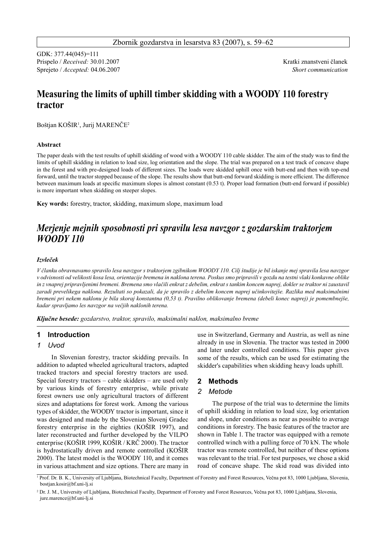GDK: 377.44(045)=111 Prispelo / *Received:* 30.01.2007Kratki znanstveni članek Sprejeto / *Accepted:* 04.06.2007 *Short communication*

# **Measuring the limits of uphill timber skidding with a WOODY 110 forestry tractor**

Boštjan KOŠIR1 , Jurij MARENČE2

#### **Abstract**

The paper deals with the test results of uphill skidding of wood with a WOODY 110 cable skidder. The aim of the study was to find the limits of uphill skidding in relation to load size, log orientation and the slope. The trial was prepared on a test track of concave shape in the forest and with pre-designed loads of different sizes. The loads were skidded uphill once with butt-end and then with top-end forward, until the tractor stopped because of the slope. The results show that butt-end forward skidding is more efficient. The difference between maximum loads at specific maximum slopes is almost constant (0.53 t). Proper load formation (butt-end forward if possible) is more important when skidding on steeper slopes.

**Key words:** forestry, tractor, skidding, maximum slope, maximum load

## *Merjenje mejnih sposobnosti pri spravilu lesa navzgor z gozdarskim traktorjem WOODY 110*

## *Izvleček*

*V članku obravnavamo spravilo lesa navzgor s traktorjem zgibnikom WOODY 110. Cilj študije je bil iskanje mej spravila lesa navzgor v odvisnosti od velikosti kosa lesa, orientacije bremena in naklona terena. Poskus smo pripravili v gozdu na testni vlaki konkavne oblike in z vnaprej pripravljenimi bremeni. Bremena smo vlačili enkrat z debelim, enkrat s tankim koncem naprej, dokler se traktor ni zaustavil zaradi prevelikega naklona. Rezultati so pokazali, da je spravilo z debelim koncem naprej učinkovitejše. Razlika med maksimalnimi bremeni pri nekem naklonu je bila skoraj konstantna (0,53 t). Pravilno oblikovanje bremena (debeli konec naprej) je pomembnejše, kadar spravljamo les navzgor na večjih naklonih terena.* 

*Ključne besede: gozdarstvo, traktor, spravilo, maksimalni naklon, maksimalno breme*

## **1 Introduction**

## *1 Uvod*

In Slovenian forestry, tractor skidding prevails. In addition to adapted wheeled agricultural tractors, adapted tracked tractors and special forestry tractors are used. Special forestry tractors – cable skidders – are used only by various kinds of forestry enterprise, while private forest owners use only agricultural tractors of different sizes and adaptations for forest work. Among the various types of skidder, the WOODY tractor is important, since it was designed and made by the Slovenian Slovenj Gradec forestry enterprise in the eighties (KOŠIR 1997), and later reconstructed and further developed by the VILPO enterprise (KOŠIR 1999, KOŠIR / KRČ 2000). The tractor is hydrostatically driven and remote controlled (KOŠIR 2000). The latest model is the WOODY 110, and it comes in various attachment and size options. There are many in use in Switzerland, Germany and Austria, as well as nine already in use in Slovenia. The tractor was tested in 2000 and later under controlled conditions. This paper gives some of the results, which can be used for estimating the skidder's capabilities when skidding heavy loads uphill.

## **2 Methods**

## *2 Metode*

The purpose of the trial was to determine the limits of uphill skidding in relation to load size, log orientation and slope, under conditions as near as possible to average conditions in forestry. The basic features of the tractor are shown in Table 1. The tractor was equipped with a remote controlled winch with a pulling force of 70 kN. The whole tractor was remote controlled, but neither of these options was relevant to the trial. For test purposes, we chose a skid road of concave shape. The skid road was divided into

<sup>&</sup>lt;sup>1</sup> Prof. Dr. B. K., University of Ljubljana, Biotechnical Faculty, Department of Forestry and Forest Resources, Večna pot 83, 1000 Ljubljana, Slovenia, b[ostjan.kosir@bf.uni-lj.si](mailto:ostjan.kosir@bf.uni-lj.si)

<sup>&</sup>lt;sup>2</sup> Dr. J. M., University of Ljubljana, Biotechnical Faculty, Department of Forestry and Forest Resources, Večna pot 83, 1000 Ljubljana, Slovenia, [jure.marence@bf.uni-lj.si](mailto:jure.marence@bf.uni-lj.si)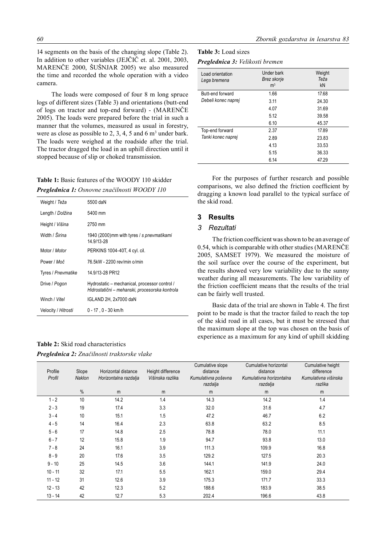14 segments on the basis of the changing slope (Table 2). In addition to other variables (JEJČIČ et. al. 2001, 2003, MARENČE 2000, ŠUŠNJAR 2005) we also measured the time and recorded the whole operation with a video camera.

The loads were composed of four 8 m long spruce logs of different sizes (Table 3) and orientations (butt-end of logs on tractor and top-end forward) - (MARENČE 2005). The loads were prepared before the trial in such a manner that the volumes, measured as usual in forestry, were as close as possible to 2, 3, 4, 5 and 6  $\text{m}^3$  under bark. The loads were weighed at the roadside after the trial. The tractor dragged the load in an uphill direction until it stopped because of slip or choked transmission.

## **Table 1:** Basic features of the WOODY 110 skidder *Preglednica 1: Osnovne značilnosti WOODY 110*

| Weight / Teža        | 5500 daN                                                                                        |
|----------------------|-------------------------------------------------------------------------------------------------|
| Length / Dolžina     | 5400 mm                                                                                         |
| Height / Višina      | 2750 mm                                                                                         |
| Width / Širina       | 1940 (2000) mm with tyres / s pnevmatikami<br>14.9/13-28                                        |
| Motor / <i>Motor</i> | PERKINS 1004-40T, 4 cyl. cil.                                                                   |
| Power / Moč          | 76.5kW - 2200 rev/min o/min                                                                     |
| Tyres / Pnevmatike   | 14.9/13-28 PR12                                                                                 |
| Drive / Pogon        | Hydrostatic – mechanical, processor control /<br>Hidrostatični – mehanski, procesorska kontrola |
| Winch / Vitel        | IGLAND 2H, 2x7000 daN                                                                           |
| Velocity / Hitrosti  | $0 - 17$ , $0 - 30$ km/h                                                                        |

## **Table 2:** Skid road characteristics *Preglednica 2: Značilnosti traktorske vlake*

## **Table 3:** Load sizes

| <b>Preglednica 3:</b> Velikosti bremen |  |
|----------------------------------------|--|
|----------------------------------------|--|

| Load orientation<br>Lega bremena | Under bark<br>Brez skorje<br>m <sup>3</sup> | Weight<br>Teža<br>kN |
|----------------------------------|---------------------------------------------|----------------------|
| Butt-end forward                 | 1.66                                        | 17.68                |
| Debeli konec naprej              | 3.11                                        | 24.30                |
|                                  | 4.07                                        | 31.69                |
|                                  | 5.12                                        | 39.58                |
|                                  | 6.10                                        | 45.37                |
| Top-end forward                  | 2.37                                        | 17.89                |
| Tanki konec naprej               | 2.89                                        | 23.83                |
|                                  | 4.13                                        | 33.53                |
|                                  | 5.15                                        | 36.33                |
|                                  | 6.14                                        | 47.29                |

For the purposes of further research and possible comparisons, we also defined the friction coefficient by dragging a known load parallel to the typical surface of the skid road.

## **3 Results**

#### *3 Rezultati*

The friction coefficient was shown to be an average of 0.54, which is comparable with other studies (MARENČE 2005, SAMSET 1979). We measured the moisture of the soil surface over the course of the experiment, but the results showed very low variability due to the sunny weather during all measurements. The low variability of the friction coefficient means that the results of the trial can be fairly well trusted.

Basic data of the trial are shown in Table 4. The first point to be made is that the tractor failed to reach the top of the skid road in all cases, but it must be stressed that the maximum slope at the top was chosen on the basis of experience as a maximum for any kind of uphill skidding

| Profile<br>Profil | Slope<br>Naklon | Horizontal distance<br>Horizontalna razdalja | Height difference<br>Višinska razlika | Cumulative slope<br>distance<br>Kumulativna poševna<br>razdalja | Cumulative horizontal<br>distance<br>Kumulativna horizontalna<br>razdalja | Cumulative height<br>difference<br>Kumulativna višinska<br>razlika |
|-------------------|-----------------|----------------------------------------------|---------------------------------------|-----------------------------------------------------------------|---------------------------------------------------------------------------|--------------------------------------------------------------------|
|                   | %               | m                                            | m                                     | m                                                               | m                                                                         | m                                                                  |
| $1 - 2$           | 10              | 14.2                                         | 1.4                                   | 14.3                                                            | 14.2                                                                      | 1.4                                                                |
| $2 - 3$           | 19              | 17.4                                         | 3.3                                   | 32.0                                                            | 31.6                                                                      | 4.7                                                                |
| $3 - 4$           | 10              | 15.1                                         | 1.5                                   | 47.2                                                            | 46.7                                                                      | 6.2                                                                |
| $4 - 5$           | 14              | 16.4                                         | 2.3                                   | 63.8                                                            | 63.2                                                                      | 8.5                                                                |
| $5 - 6$           | 17              | 14.8                                         | 2.5                                   | 78.8                                                            | 78.0                                                                      | 11.1                                                               |
| $6 - 7$           | 12              | 15.8                                         | 1.9                                   | 94.7                                                            | 93.8                                                                      | 13.0                                                               |
| $7 - 8$           | 24              | 16.1                                         | 3.9                                   | 111.3                                                           | 109.9                                                                     | 16.8                                                               |
| $8 - 9$           | 20              | 17.6                                         | 3.5                                   | 129.2                                                           | 127.5                                                                     | 20.3                                                               |
| $9 - 10$          | 25              | 14.5                                         | 3.6                                   | 144.1                                                           | 141.9                                                                     | 24.0                                                               |
| $10 - 11$         | 32              | 17.1                                         | 5.5                                   | 162.1                                                           | 159.0                                                                     | 29.4                                                               |
| $11 - 12$         | 31              | 12.6                                         | 3.9                                   | 175.3                                                           | 171.7                                                                     | 33.3                                                               |
| $12 - 13$         | 42              | 12.3                                         | 5.2                                   | 188.6                                                           | 183.9                                                                     | 38.5                                                               |
| $13 - 14$         | 42              | 12.7                                         | 5.3                                   | 202.4                                                           | 196.6                                                                     | 43.8                                                               |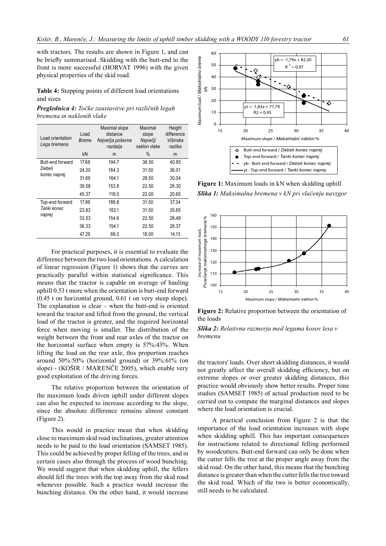with tractors. The results are shown in Figure 1, and can be briefly summarised. Skidding with the butt-end to the front is more successful (HORVAT 1996) with the given physical properties of the skid road.

Table 4: Stopping points of different load orientations and sizes

Preglednica 4: Točke zaustavitve pri različnih legah bremena in naklonih vlake

| Load orientation<br>Lega bremena | Load<br>Breme | Maximal slope<br>distance<br>Največja poševna<br>razdalja | Maximal<br>slope<br>Največji<br>naklon vlake | Height<br>difference<br>Višinska<br>razlika |
|----------------------------------|---------------|-----------------------------------------------------------|----------------------------------------------|---------------------------------------------|
|                                  | kN            | m                                                         | %                                            | m                                           |
| Butt-end forward                 | 17.68         | 194.7                                                     | 36.50                                        | 40.85                                       |
| Debeli                           | 24.30         | 184.3                                                     | 31.50                                        | 36.01                                       |
| konec naprej                     | 31.69         | 164.1                                                     | 28.50                                        | 30.04                                       |
|                                  | 39.58         | 153.8                                                     | 22.50                                        | 26.30                                       |
|                                  | 45.37         | 118.0                                                     | 22.00                                        | 20.65                                       |
| Top-end forward                  | 17.89         | 188.8                                                     | 31.50                                        | 37.34                                       |
| Tanki konec                      | 23.83         | 183.1                                                     | 31.50                                        | 35.65                                       |
| naprej                           | 33.53         | 154.6                                                     | 22.50                                        | 26.49                                       |
|                                  | 36.33         | 154.1                                                     | 22.50                                        | 26.37                                       |
|                                  | 47.29         | 88.0                                                      | 18.00                                        | 14.13                                       |

For practical purposes, it is essential to evaluate the difference between the two load orientations. A calculation of linear regression (Figure 1) shows that the curves are practically parallel within statistical significance. This means that the tractor is capable on average of hauling uphill 0.53 t more when the orientation is butt-end forward  $(0.45$  t on horizontal ground,  $0.61$  t on very steep slope). The explanation is clear  $-$  when the butt-end is oriented toward the tractor and lifted from the ground, the vertical load of the tractor is greater, and the required horizontal force when moving is smaller. The distribution of the weight between the front and rear axles of the tractor on the horizontal surface when empty is 57%:43%. When lifting the load on the rear axle, this proportion reaches around  $50\%$ :50% (horizontal ground) or  $39\%$ :61% (on slope) - (KOŠIR / MARENČE 2005), which enable very good exploitation of the driving forces.

The relative proportion between the orientation of the maximum loads driven uphill under different slopes can also be expected to increase according to the slope, since the absolute difference remains almost constant (Figure 2).

This would in practice mean that when skidding close to maximum skid road inclinations, greater attention needs to be paid to the load orientation (SAMSET 1985). This could be achieved by proper felling of the trees, and in certain cases also through the process of wood bunching. We would suggest that when skidding uphill, the fellers should fell the trees with the top away from the skid road whenever possible. Such a practice would increase the bunching distance. On the other hand, it would increase



Figure 1: Maximum loads in kN when skidding uphill Slika 1: Maksimalna bremena v kN pri vlačenju navzgor



Figure 2: Relative proportion between the orientation of the loads



the tractors' loads. Over short skidding distances, it would not greatly affect the overall skidding efficiency, but on extreme slopes or over greater skidding distances, this practice would obviously show better results. Proper time studies (SAMSET 1985) of actual production need to be carried out to compute the marginal distances and slopes where the load orientation is crucial.

A practical conclusion from Figure 2 is that the importance of the load orientation increases with slope when skidding uphill. This has important consequences for instructions related to directional felling performed by woodcutters. Butt-end forward can only be done when the cutter fells the tree at the proper angle away from the skid road. On the other hand, this means that the bunching distance is greater than when the cutter fells the tree toward the skid road. Which of the two is better economically, still needs to be calculated.